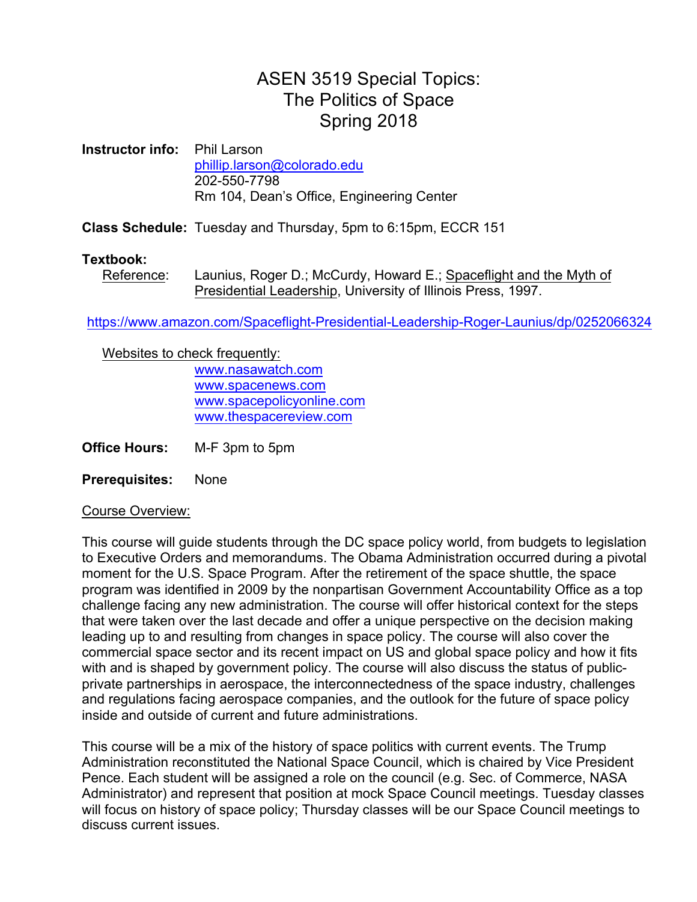## ASEN 3519 Special Topics: The Politics of Space Spring 2018

**Instructor info:** Phil Larson phillip.larson@colorado.edu 202-550-7798 Rm 104, Dean's Office, Engineering Center

**Class Schedule:** Tuesday and Thursday, 5pm to 6:15pm, ECCR 151

## **Textbook:**

Reference: Launius, Roger D.; McCurdy, Howard E.; Spaceflight and the Myth of Presidential Leadership, University of Illinois Press, 1997.

https://www.amazon.com/Spaceflight-Presidential-Leadership-Roger-Launius/dp/0252066324

Websites to check frequently:

www.nasawatch.com www.spacenews.com www.spacepolicyonline.com www.thespacereview.com

**Office Hours:** M-F 3pm to 5pm

**Prerequisites:** None

Course Overview:

This course will guide students through the DC space policy world, from budgets to legislation to Executive Orders and memorandums. The Obama Administration occurred during a pivotal moment for the U.S. Space Program. After the retirement of the space shuttle, the space program was identified in 2009 by the nonpartisan Government Accountability Office as a top challenge facing any new administration. The course will offer historical context for the steps that were taken over the last decade and offer a unique perspective on the decision making leading up to and resulting from changes in space policy. The course will also cover the commercial space sector and its recent impact on US and global space policy and how it fits with and is shaped by government policy. The course will also discuss the status of publicprivate partnerships in aerospace, the interconnectedness of the space industry, challenges and regulations facing aerospace companies, and the outlook for the future of space policy inside and outside of current and future administrations.

This course will be a mix of the history of space politics with current events. The Trump Administration reconstituted the National Space Council, which is chaired by Vice President Pence. Each student will be assigned a role on the council (e.g. Sec. of Commerce, NASA Administrator) and represent that position at mock Space Council meetings. Tuesday classes will focus on history of space policy; Thursday classes will be our Space Council meetings to discuss current issues.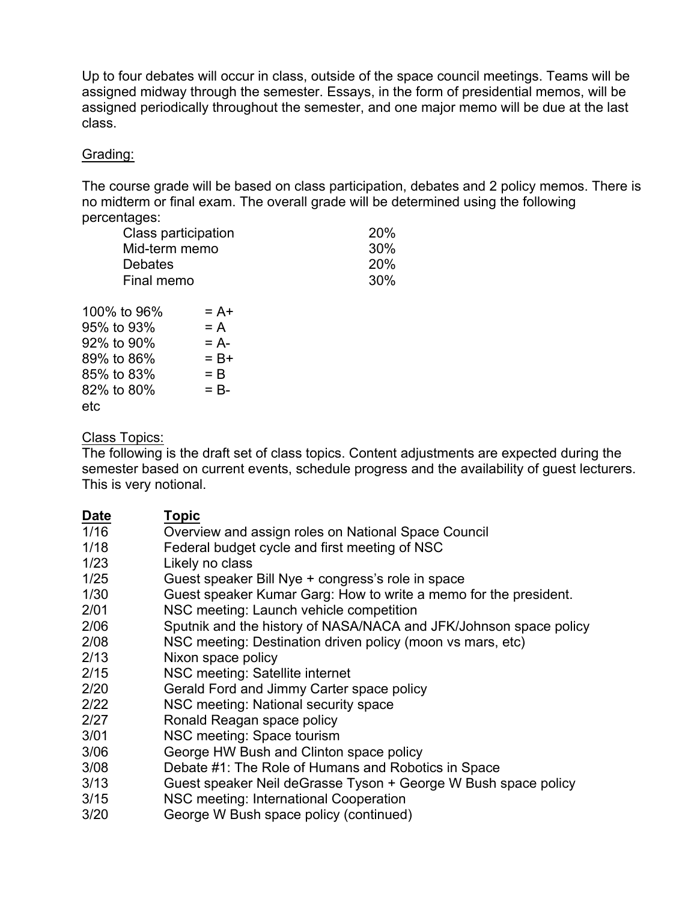Up to four debates will occur in class, outside of the space council meetings. Teams will be assigned midway through the semester. Essays, in the form of presidential memos, will be assigned periodically throughout the semester, and one major memo will be due at the last class.

## Grading:

The course grade will be based on class participation, debates and 2 policy memos. There is no midterm or final exam. The overall grade will be determined using the following percentages:

| Class participation |         | 20% |
|---------------------|---------|-----|
| Mid-term memo       |         | 30% |
| <b>Debates</b>      |         | 20% |
| Final memo          |         | 30% |
| 100% to 96%         | $= A +$ |     |
| 95% to 93%          | $= A$   |     |
| 92% to 90%          | $= A -$ |     |
| 89% to 86%          | $= B +$ |     |
| 85% to 83%          | $=$ B   |     |
| 82% to 80%          | $=$ B-  |     |

etc

Class Topics:

The following is the draft set of class topics. Content adjustments are expected during the semester based on current events, schedule progress and the availability of guest lecturers. This is very notional.

| <b>Date</b> | <b>Topic</b>                                                      |
|-------------|-------------------------------------------------------------------|
| 1/16        | Overview and assign roles on National Space Council               |
| 1/18        | Federal budget cycle and first meeting of NSC                     |
| 1/23        | Likely no class                                                   |
| 1/25        | Guest speaker Bill Nye + congress's role in space                 |
| 1/30        | Guest speaker Kumar Garg: How to write a memo for the president.  |
| 2/01        | NSC meeting: Launch vehicle competition                           |
| 2/06        | Sputnik and the history of NASA/NACA and JFK/Johnson space policy |
| 2/08        | NSC meeting: Destination driven policy (moon vs mars, etc)        |
| 2/13        | Nixon space policy                                                |
| 2/15        | NSC meeting: Satellite internet                                   |
| 2/20        | Gerald Ford and Jimmy Carter space policy                         |
| 2/22        | NSC meeting: National security space                              |
| 2/27        | Ronald Reagan space policy                                        |
| 3/01        | NSC meeting: Space tourism                                        |
| 3/06        | George HW Bush and Clinton space policy                           |
| 3/08        | Debate #1: The Role of Humans and Robotics in Space               |
| 3/13        | Guest speaker Neil deGrasse Tyson + George W Bush space policy    |
| 3/15        | NSC meeting: International Cooperation                            |
| 3/20        | George W Bush space policy (continued)                            |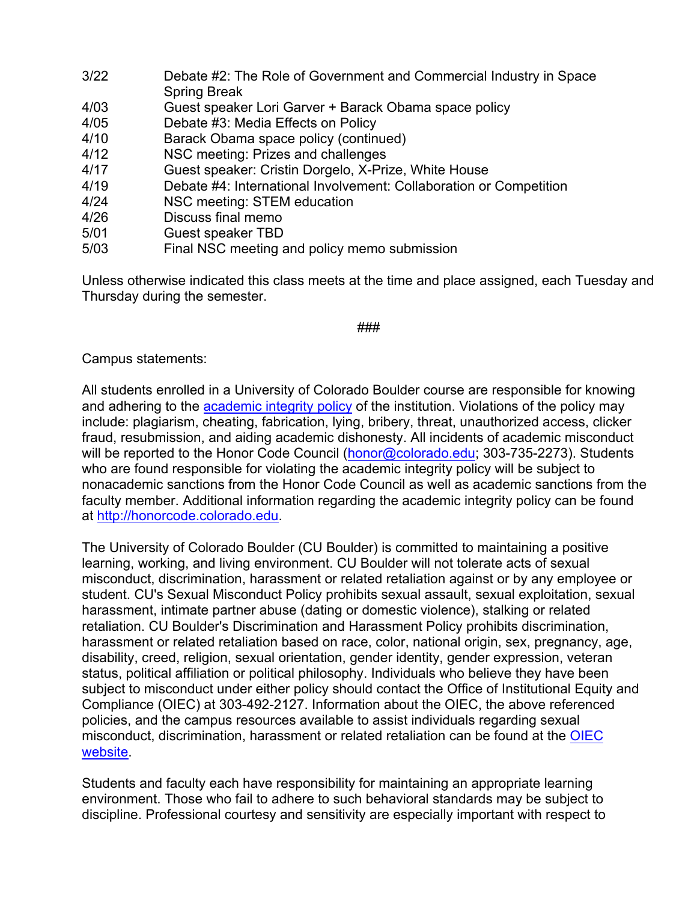| 3/22 | Debate #2: The Role of Government and Commercial Industry in Space<br><b>Spring Break</b> |
|------|-------------------------------------------------------------------------------------------|
| 4/03 | Guest speaker Lori Garver + Barack Obama space policy                                     |
| 4/05 | Debate #3: Media Effects on Policy                                                        |
| 4/10 | Barack Obama space policy (continued)                                                     |
| 4/12 | NSC meeting: Prizes and challenges                                                        |
| 4/17 | Guest speaker: Cristin Dorgelo, X-Prize, White House                                      |
| 4/19 | Debate #4: International Involvement: Collaboration or Competition                        |
| 4/24 | NSC meeting: STEM education                                                               |
| 4/26 | Discuss final memo                                                                        |
| 5/01 | <b>Guest speaker TBD</b>                                                                  |
| 5/03 | Final NSC meeting and policy memo submission                                              |

Unless otherwise indicated this class meets at the time and place assigned, each Tuesday and Thursday during the semester.

## ###

Campus statements:

All students enrolled in a University of Colorado Boulder course are responsible for knowing and adhering to the academic integrity policy of the institution. Violations of the policy may include: plagiarism, cheating, fabrication, lying, bribery, threat, unauthorized access, clicker fraud, resubmission, and aiding academic dishonesty. All incidents of academic misconduct will be reported to the Honor Code Council (honor@colorado.edu; 303-735-2273). Students who are found responsible for violating the academic integrity policy will be subject to nonacademic sanctions from the Honor Code Council as well as academic sanctions from the faculty member. Additional information regarding the academic integrity policy can be found at http://honorcode.colorado.edu.

The University of Colorado Boulder (CU Boulder) is committed to maintaining a positive learning, working, and living environment. CU Boulder will not tolerate acts of sexual misconduct, discrimination, harassment or related retaliation against or by any employee or student. CU's Sexual Misconduct Policy prohibits sexual assault, sexual exploitation, sexual harassment, intimate partner abuse (dating or domestic violence), stalking or related retaliation. CU Boulder's Discrimination and Harassment Policy prohibits discrimination, harassment or related retaliation based on race, color, national origin, sex, pregnancy, age, disability, creed, religion, sexual orientation, gender identity, gender expression, veteran status, political affiliation or political philosophy. Individuals who believe they have been subject to misconduct under either policy should contact the Office of Institutional Equity and Compliance (OIEC) at 303-492-2127. Information about the OIEC, the above referenced policies, and the campus resources available to assist individuals regarding sexual misconduct, discrimination, harassment or related retaliation can be found at the OIEC website.

Students and faculty each have responsibility for maintaining an appropriate learning environment. Those who fail to adhere to such behavioral standards may be subject to discipline. Professional courtesy and sensitivity are especially important with respect to